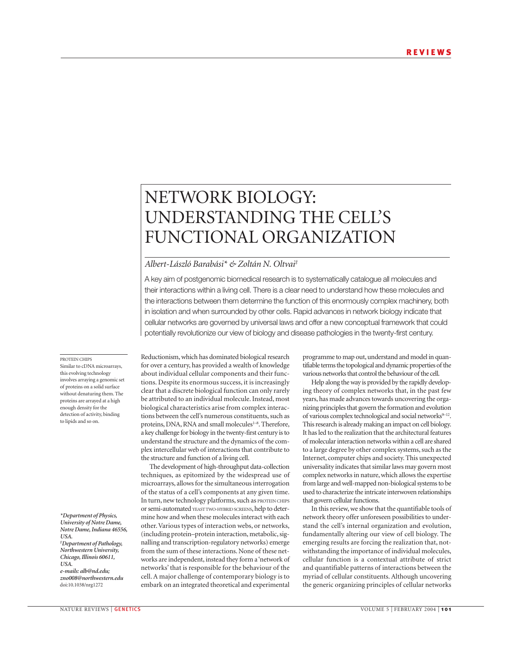# NETWORK BIOLOGY: UNDERSTANDING THE CELL'S FUNCTIONAL ORGANIZATION

## *Albert-László Barabási\* & Zoltán N. Oltvai‡*

A key aim of postgenomic biomedical research is to systematically catalogue all molecules and their interactions within a living cell. There is a clear need to understand how these molecules and the interactions between them determine the function of this enormously complex machinery, both in isolation and when surrounded by other cells. Rapid advances in network biology indicate that cellular networks are governed by universal laws and offer a new conceptual framework that could potentially revolutionize our view of biology and disease pathologies in the twenty-first century.

#### PROTEIN CHIPS

Similar to cDNA microarrays, this evolving technology involves arraying a genomic set of proteins on a solid surface without denaturing them. The proteins are arrayed at a high enough density for the detection of activity, binding to lipids and so on.

*\*Department of Physics, University of Notre Dame, Notre Dame, Indiana 46556, USA. ‡ Department of Pathology, Northwestern University, Chicago, Illinois 60611, USA. e-mails: alb@nd.edu; zno008@northwestern.edu* doi:10.1038/nrg1272

Reductionism, which has dominated biological research for over a century, has provided a wealth of knowledge about individual cellular components and their functions. Despite its enormous success, it is increasingly clear that a discrete biological function can only rarely be attributed to an individual molecule. Instead, most biological characteristics arise from complex interactions between the cell's numerous constituents, such as proteins, DNA, RNA and small molecules<sup>1-8</sup>. Therefore, a key challenge for biology in the twenty-first century is to understand the structure and the dynamics of the complex intercellular web of interactions that contribute to the structure and function of a living cell.

The development of high-throughput data-collection techniques, as epitomized by the widespread use of microarrays, allows for the simultaneous interrogation of the status of a cell's components at any given time. In turn, new technology platforms, such as PROTEIN CHIPS or semi-automated YEAST TWO-HYBRID SCREENS, help to determine how and when these molecules interact with each other. Various types of interaction webs, or networks, (including protein–protein interaction, metabolic, signalling and transcription-regulatory networks) emerge from the sum of these interactions. None of these networks are independent, instead they form a 'network of networks' that is responsible for the behaviour of the cell. A major challenge of contemporary biology is to embark on an integrated theoretical and experimental

programme to map out, understand and model in quantifiable terms the topological and dynamic properties of the various networks that control the behaviour of the cell.

Help along the way is provided by the rapidly developing theory of complex networks that, in the past few years, has made advances towards uncovering the organizing principles that govern the formation and evolution of various complex technological and social networks<sup>9-12</sup>. This research is already making an impact on cell biology. It has led to the realization that the architectural features of molecular interaction networks within a cell are shared to a large degree by other complex systems, such as the Internet, computer chips and society. This unexpected universality indicates that similar laws may govern most complex networks in nature, which allows the expertise from large and well-mapped non-biological systems to be used to characterize the intricate interwoven relationships that govern cellular functions.

In this review, we show that the quantifiable tools of network theory offer unforeseen possibilities to understand the cell's internal organization and evolution, fundamentally altering our view of cell biology. The emerging results are forcing the realization that, notwithstanding the importance of individual molecules, cellular function is a contextual attribute of strict and quantifiable patterns of interactions between the myriad of cellular constituents. Although uncovering the generic organizing principles of cellular networks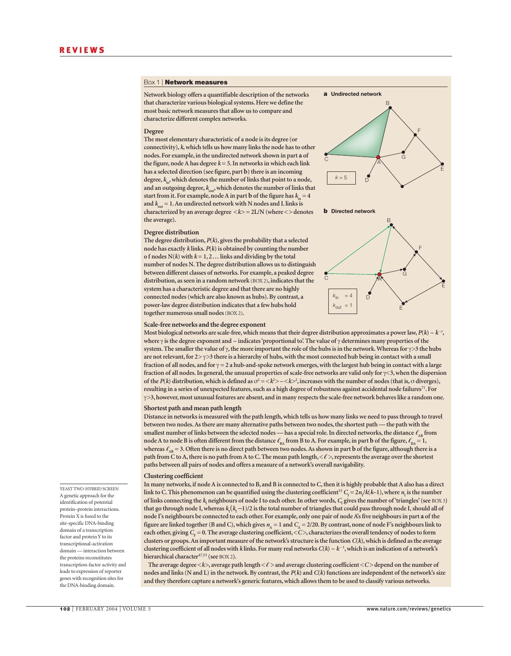### Box 1 | **Network measures**

**Network biology offers a quantifiable description of the networks that characterize various biological systems. Here we define the most basic network measures that allow us to compare and characterize different complex networks.**

#### **Degree**

**The most elementary characteristic of a node is its degree (or connectivity),** *k***, which tells us how many links the node has to other nodes. For example, in the undirected network shown in part a of the figure, node A has degree** *k* **= 5. In networks in which each link has a selected direction (see figure, part b) there is an incoming degree,** *k***in, which denotes the number of links that point to a node,** and an outgoing degree,  $k_{\text{out}}$ , which denotes the number of links that **start from it. For example, node A in part <b>b** of the figure has  $k_{in} = 4$ and  $k_{\text{out}} = 1$ . An undirected network with N nodes and L links is **characterized by an average degree <***k***> = 2L/N (where <> denotes the average).**

#### **Degree distribution**

**The degree distribution,***P***(***k***), gives the probability that a selected** node has exactly  $k$  links.  $P(k)$  is obtained by counting the number **o** f nodes  $N(k)$  with  $k = 1, 2...$  links and dividing by the total **number of nodes N. The degree distribution allows us to distinguish between different classes of networks. For example, a peaked degree distribution, as seen in a random network** (BOX 2)**, indicates that the system has a characteristic degree and that there are no highly connected nodes (which are also known as hubs). By contrast, a power-law degree distribution indicates that a few hubs hold together numerous small nodes** (BOX 2)**.**



D

*k*in *k*out  $= 4$  $= 1$ 

E

#### **Scale-free networks and the degree exponent**

Most biological networks are scale-free, which means that their degree distribution approximates a power law,  $P(k) \sim k^{-\gamma}$ , **where** γ **is the degree exponent and ~ indicates 'proportional to'. The value of** γ **determines many properties of the system. The smaller the value of** γ**, the more important the role of the hubs is in the network. Whereas for** γ**>3 the hubs are not relevant, for 2>** γ**>3 there is a hierarchy of hubs, with the most connected hub being in contact with a small fraction of all nodes, and for** γ **= 2 a hub-and-spoke network emerges, with the largest hub being in contact with a large fraction of all nodes. In general, the unusual properties of scale-free networks are valid only for** γ**<3, when the dispersion** of the  $P(k)$  distribution, which is defined as  $\sigma^2 = \langle k^2 \rangle - \langle k^2 \rangle$ , increases with the number of nodes (that is,  $\sigma$  diverges), **resulting in a series of unexpected features, such as a high degree of robustness against accidental node failures**<sup>71</sup>**. For** γ**>3, however, most unusual features are absent, and in many respects the scale-free network behaves like a random one.**

#### **Shortest path and mean path length**

**Distance in networks is measured with the path length, which tells us how many links we need to pass through to travel between two nodes. As there are many alternative paths between two nodes, the shortest path — the path with the** smallest number of links between the selected nodes — has a special role. In directed networks, the distance  $\ell_{AB}$  from node A to node B is often different from the distance  $\ell_{BA}$  from B to A. For example, in part **b** of the figure,  $\ell_{BA} = 1$ , whereas  $\ell_{AB} = 3$ . Often there is no direct path between two nodes. As shown in part **b** of the figure, although there is a **path from C to A, there is no path from A to C. The mean path length, <** $\ell$ **, represents the average over the shortest paths between all pairs of nodes and offers a measure of a network's overall navigability.**

#### **Clustering coefficient**

**In many networks, if node A is connected to B, and B is connected to C, then it is highly probable that A also has a direct** link to C. This phenomenon can be quantified using the clustering coefficient<sup>33</sup>  $C_1 = 2n_l/k(k-1)$ , where  $n_i$  is the number **of links connecting the** *k***<sup>I</sup> neighbours of node I to each other. In other words,***C***<sup>I</sup> gives the number of 'triangles' (see** BOX 3**)** that go through node I<sub></sub>, whereas  $k_1(k_1 - 1)/2$  is the total number of triangles that could pass through node I<sub></sub>, should all of **node I's neighbours be connected to each other. For example, only one pair of node A's five neighbours in part a of the** figure are linked together (B and C), which gives  $n_A = 1$  and  $C_A = 2/20$ . By contrast, none of node F's neighbours link to **each other, giving** *C***<sup>F</sup> = 0. The average clustering coefficient, <***C***>, characterizes the overall tendency of nodes to form clusters or groups.An important measure of the network's structure is the function** *C***(***k***), which is defined as the average** clustering coefficient of all nodes with *k* links. For many real networks  $C(k) \sim k^{-1}$ , which is an indication of a network's **hierarchical character**47,53 **(see** BOX 2**).**

The average degree  $\langle k \rangle$ , average path length  $\langle \ell \rangle$  and average clustering coefficient  $\langle C \rangle$  depend on the number of nodes and links (N and L) in the network. By contrast, the  $P(k)$  and  $C(k)$  functions are independent of the network's size **and they therefore capture a network's generic features, which allows them to be used to classify various networks.**

YEAST TWO-HYBRID SCREEN A genetic approach for the identification of potential protein–protein interactions. Protein X is fused to the site-specific DNA-binding domain of a transcription factor and protein Y to its transcriptional-activation domain — interaction between the proteins reconstitutes transcription-factor activity and leads to expression of reporter genes with recognition sites for the DNA-binding domain.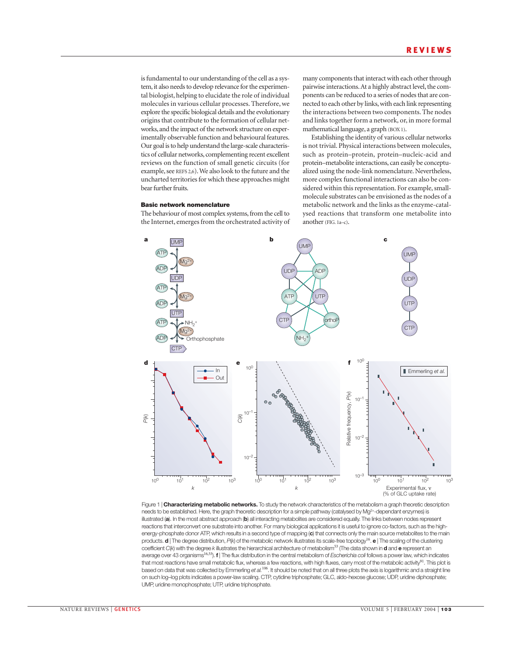is fundamental to our understanding of the cell as a system, it also needs to develop relevance for the experimental biologist, helping to elucidate the role of individual molecules in various cellular processes. Therefore, we explore the specific biological details and the evolutionary origins that contribute to the formation of cellular networks, and the impact of the network structure on experimentally observable function and behavioural features. Our goal is to help understand the large-scale characteristics of cellular networks, complementing recent excellent reviews on the function of small genetic circuits (for example, see REFS 2,6). We also look to the future and the uncharted territories for which these approaches might bear further fruits.

## **Basic network nomenclature**

The behaviour of most complex systems, from the cell to the Internet, emerges from the orchestrated activity of

many components that interact with each other through pairwise interactions.At a highly abstract level, the components can be reduced to a series of nodes that are connected to each other by links, with each link representing the interactions between two components. The nodes and links together form a network*,* or, in more formal mathematical language, a graph (BOX 1).

Establishing the identity of various cellular networks is not trivial. Physical interactions between molecules, such as protein–protein, protein–nucleic-acid and protein–metabolite interactions, can easily be conceptualized using the node-link nomenclature. Nevertheless, more complex functional interactions can also be considered within this representation. For example, smallmolecule substrates can be envisioned as the nodes of a metabolic network and the links as the enzyme-catalysed reactions that transform one metabolite into another (FIG. 1a–c).



Figure 1 | **Characterizing metabolic networks.** To study the network characteristics of the metabolism a graph theoretic description needs to be established. Here, the graph theoretic description for a simple pathway (catalysed by Mg<sup>2+</sup>-dependant enzymes) is illustrated (**a**). In the most abstract approach (**b**) all interacting metabolites are considered equally. The links between nodes represent reactions that interconvert one substrate into another. For many biological applications it is useful to ignore co-factors, such as the highenergy-phosphate donor ATP, which results in a second type of mapping (**c**) that connects only the main source metabolites to the main products. **d** | The degree distribution, *P*(*k*) of the metabolic network illustrates its scale-free topology16. **e** | The scaling of the clustering coefficient *C*(*k*) with the degree *k* illustrates the hierarchical architecture of metabolism<sup>53</sup> (The data shown in **d** and **e** represent an average over 43 organisms16,53). **f** | The flux distribution in the central metabolism of *Escherichia coli* follows a power law, which indicates that most reactions have small metabolic flux, whereas a few reactions, with high fluxes, carry most of the metabolic activity<sup>91</sup>. This plot is based on data that was collected by Emmerling *et al.*106. It should be noted that on all three plots the axis is logarithmic and a straight line on such log–log plots indicates a power-law scaling. CTP, cytidine triphosphate; GLC, aldo-hexose glucose; UDP, uridine diphosphate; UMP, uridine monophosphate; UTP, uridine triphosphate.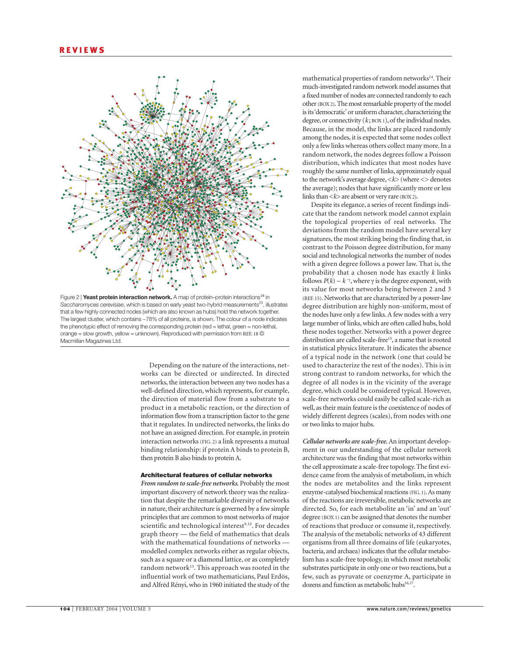

Figure 2 | Yeast protein interaction network. A map of protein-protein interactions<sup>18</sup> in Saccharomyces cerevisiae, which is based on early yeast two-hybrid measurements<sup>23</sup>, illustrates that a few highly connected nodes (which are also known as hubs) hold the network together. The largest cluster, which contains ~78% of all proteins, is shown. The colour of a node indicates the phenotypic effect of removing the corresponding protein (red = lethal, green = non-lethal, orange = slow growth, yellow = unknown). Reproduced with permission from REF. 18  $\odot$ Macmillan Magazines Ltd.

Depending on the nature of the interactions, networks can be directed or undirected. In directed networks, the interaction between any two nodes has a well-defined direction, which represents, for example, the direction of material flow from a substrate to a product in a metabolic reaction, or the direction of information flow from a transcription factor to the gene that it regulates. In undirected networks, the links do not have an assigned direction. For example, in protein interaction networks (FIG. 2) a link represents a mutual binding relationship: if protein A binds to protein B, then protein B also binds to protein A.

## **Architectural features of cellular networks**

*From random to scale-free networks.* Probably the most important discovery of network theory was the realization that despite the remarkable diversity of networks in nature, their architecture is governed by a few simple principles that are common to most networks of major scientific and technological interest<sup>9,10</sup>. For decades graph theory — the field of mathematics that deals with the mathematical foundations of networks modelled complex networks either as regular objects, such as a square or a diamond lattice, or as completely random network $13$ . This approach was rooted in the influential work of two mathematicians, Paul Erdös, and Alfréd Rényi, who in 1960 initiated the study of the

mathematical properties of random networks<sup>14</sup>. Their much-investigated random network model assumes that a fixed number of nodes are connected randomly to each other (BOX 2). The most remarkable property of the model is its 'democratic'or uniform character, characterizing the degree, or connectivity  $(k; BOX 1)$ , of the individual nodes. Because, in the model, the links are placed randomly among the nodes, it is expected that some nodes collect only a few links whereas others collect many more. In a random network, the nodes degrees follow a Poisson distribution, which indicates that most nodes have roughly the same number of links, approximately equal to the network's average degree, <*k*> (where <> denotes the average); nodes that have significantly more or less links than <*k*> are absent or very rare (BOX 2).

Despite its elegance, a series of recent findings indicate that the random network model cannot explain the topological properties of real networks. The deviations from the random model have several key signatures, the most striking being the finding that, in contrast to the Poisson degree distribution, for many social and technological networks the number of nodes with a given degree follows a power law. That is, the probability that a chosen node has exactly *k* links follows  $P(k) \sim k^{-\gamma}$ , where  $\gamma$  is the degree exponent, with its value for most networks being between 2 and 3 (REF. 15). Networks that are characterized by a power-law degree distribution are highly non-uniform, most of the nodes have only a few links. A few nodes with a very large number of links, which are often called hubs, hold these nodes together. Networks with a power degree distribution are called scale-free<sup>15</sup>, a name that is rooted in statistical physics literature. It indicates the absence of a typical node in the network (one that could be used to characterize the rest of the nodes). This is in strong contrast to random networks, for which the degree of all nodes is in the vicinity of the average degree, which could be considered typical. However, scale-free networks could easily be called scale-rich as well, as their main feature is the coexistence of nodes of widely different degrees (scales), from nodes with one or two links to major hubs.

*Cellular networks are scale-free.*An important development in our understanding of the cellular network architecture was the finding that most networks within the cell approximate a scale-free topology. The first evidence came from the analysis of metabolism, in which the nodes are metabolites and the links represent enzyme-catalysed biochemical reactions (FIG. 1).As many of the reactions are irreversible, metabolic networks are directed. So, for each metabolite an 'in' and an 'out' degree (BOX 1) can be assigned that denotes the number of reactions that produce or consume it, respectively. The analysis of the metabolic networks of 43 different organisms from all three domains of life (eukaryotes, bacteria, and archaea) indicates that the cellular metabolism has a scale-free topology, in which most metabolic substrates participate in only one or two reactions, but a few, such as pyruvate or coenzyme A, participate in dozens and function as metabolic hubs<sup>16,17</sup>.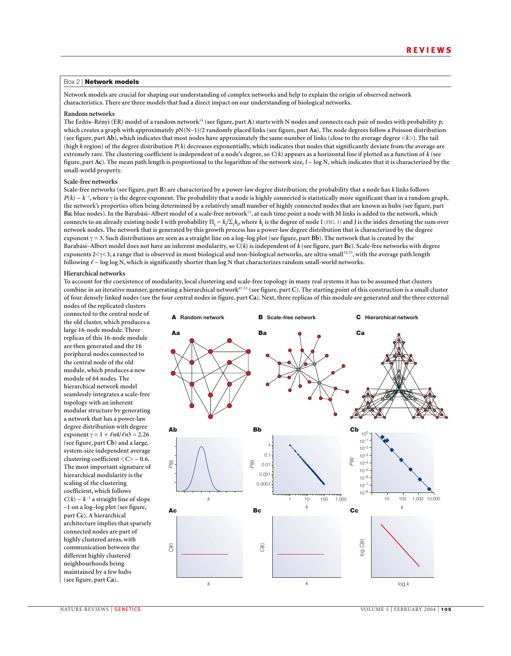## Box 2 | **Network models**

**Network models are crucial for shaping our understanding of complex networks and help to explain the origin of observed network characteristics. There are three models that had a direct impact on our understanding of biological networks.**

## **Random networks**

The Erdös–Rényi (ER) model of a random network<sup>14</sup> (see figure, part **A**) starts with N nodes and connects each pair of nodes with probability  $p$ , **which creates a graph with approximately** *p***N(N–1)/2 randomly placed links (see figure, part Aa). The node degrees follow a Poisson distribution (see figure, part Ab), which indicates that most nodes have approximately the same number of links (close to the average degree <***k***>). The tail (high** *k* **region) of the degree distribution** *P***(***k***) decreases exponentially, which indicates that nodes that significantly deviate from the average are extremely rare. The clustering coefficient is independent of a node's degree, so** *C***(***k***) appears as a horizontal line if plotted as a function of** *k* **(see figure, part Ac). The mean path length is proportional to the logarithm of the network size,** *l* **~ log N, which indicates that it is characterized by the small-world property.**

## **Scale-free networks**

**Scale-free networks (see figure, part B) are characterized by a power-law degree distribution; the probability that a node has** *k* **links follows**   $P(k) \sim k^{-\gamma}$ , where  $\gamma$  is the degree exponent. The probability that a node is highly connected is statistically more significant than in a random graph, **the network's properties often being determined by a relatively small number of highly connected nodes that are known as hubs (see figure, part Ba; blue nodes). In the Barabási–Albert model of a scale-free network**<sup>15</sup>**, at each time point a node with M links is added to the network, which** connects to an already existing node I with probability  $\Pi_{\rm I}$  =  $k_{\rm I}/\Sigma_{\rm J} k_{\rm J}$ , where  $k_{\rm I}$  is the degree of node I (FIG. 3) and J is the index denoting the sum over **network nodes. The network that is generated by this growth process has a power-law degree distribution that is characterized by the degree exponent** γ **= 3. Such distributions are seen as a straight line on a log–log plot (see figure, part Bb). The network that is created by the Barabási–Albert model does not have an inherent modularity, so** *C***(***k***) is independent of** *k* **(see figure, part Bc). Scale-free networks with degree exponents 2<**γ**<3, a range that is observed in most biological and non-biological networks, are ultra-small**34,35**, with the average path length following ~ log log N, which is significantly shorter than log N that characterizes random small-world networks.**

#### **Hierarchical networks**

**To account for the coexistence of modularity, local clustering and scale-free topology in many real systems it has to be assumed that clusters combine in an iterative manner, generating a hierarchical network**47,53 **(see figure, part C). The starting point of this construction is a small cluster of four densely linked nodes (see the four central nodes in figure, part Ca). Next, three replicas of this module are generated and the three external**

**nodes of the replicated clusters connected to the central node of the old cluster, which produces a large 16-node module. Three replicas of this 16-node module are then generated and the 16 peripheral nodes connected to the central node of the old module, which produces a new module of 64 nodes. The hierarchical network model seamlessly integrates a scale-free topology with an inherent modular structure by generating a network that has a power-law degree distribution with degree exponent**  $\gamma = 1 + \ln 4 / \ln 3 = 2.26$ **(see figure, part Cb) and a large, system-size independent average clustering coefficient <***C***> ~ 0.6***.* **The most important signature of hierarchical modularity is the scaling of the clustering coefficient, which follows**   $C(k) \sim k^{-1}$  a straight line of slope **–1 on a log–log plot (see figure, part Cc). A hierarchical architecture implies that sparsely connected nodes are part of highly clustered areas, with communication between the different highly clustered neighbourhoods being maintained by a few hubs (see figure, part Ca).**

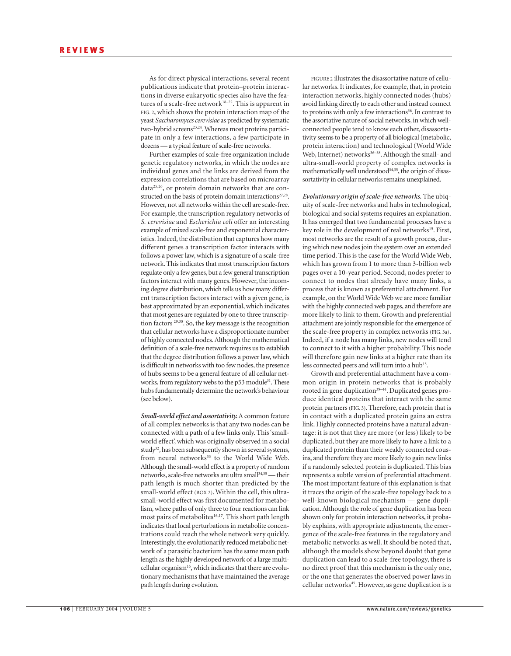As for direct physical interactions, several recent publications indicate that protein–protein interactions in diverse eukaryotic species also have the features of a scale-free network<sup>18-22</sup>. This is apparent in FIG. 2, which shows the protein interaction map of the yeast *Saccharomyces cerevisiae* as predicted by systematic two-hybrid screens<sup>23,24</sup>. Whereas most proteins participate in only a few interactions, a few participate in dozens — a typical feature of scale-free networks.

Further examples of scale-free organization include genetic regulatory networks, in which the nodes are individual genes and the links are derived from the expression correlations that are based on microarray data25,26, or protein domain networks that are constructed on the basis of protein domain interactions<sup>27,28</sup>. However, not all networks within the cell are scale-free. For example, the transcription regulatory networks of *S. cerevisiae* and *Escherichia coli* offer an interesting example of mixed scale-free and exponential characteristics. Indeed, the distribution that captures how many different genes a transcription factor interacts with follows a power law, which is a signature of a scale-free network. This indicates that most transcription factors regulate only a few genes, but a few general transcription factors interact with many genes. However, the incoming degree distribution, which tells us how many different transcription factors interact with a given gene, is best approximated by an exponential, which indicates that most genes are regulated by one to three transcription factors 29,30. So, the key message is the recognition that cellular networks have a disproportionate number of highly connected nodes. Although the mathematical definition of a scale-free network requires us to establish that the degree distribution follows a power law, which is difficult in networks with too few nodes, the presence of hubs seems to be a general feature of all cellular networks, from regulatory webs to the p53 module<sup>31</sup>. These hubs fundamentally determine the network's behaviour (see below).

*Small-world effect and assortativity.*A common feature of all complex networks is that any two nodes can be connected with a path of a few links only. This 'smallworld effect', which was originally observed in a social study<sup>32</sup>, has been subsequently shown in several systems, from neural networks<sup>33</sup> to the World Wide Web. Although the small-world effect is a property of random networks, scale-free networks are ultra small34,35 — their path length is much shorter than predicted by the small-world effect (BOX 2). Within the cell, this ultrasmall-world effect was first documented for metabolism, where paths of only three to four reactions can link most pairs of metabolites<sup>16,17</sup>. This short path length indicates that local perturbations in metabolite concentrations could reach the whole network very quickly. Interestingly, the evolutionarily reduced metabolic network of a parasitic bacterium has the same mean path length as the highly developed network of a large multicellular organism<sup>16</sup>, which indicates that there are evolutionary mechanisms that have maintained the average path length during evolution.

FIGURE 2 illustrates the disassortative nature of cellular networks. It indicates, for example, that, in protein interaction networks, highly connected nodes (hubs) avoid linking directly to each other and instead connect to proteins with only a few interactions<sup>36</sup>. In contrast to the assortative nature of social networks, in which wellconnected people tend to know each other, disassortativity seems to be a property of all biological (metabolic, protein interaction) and technological (World Wide Web, Internet) networks<sup>36-38</sup>. Although the small- and ultra-small-world property of complex networks is mathematically well understood<sup>34,35</sup>, the origin of disassortativity in cellular networks remains unexplained.

*Evolutionary origin of scale-free networks.* The ubiquity of scale-free networks and hubs in technological, biological and social systems requires an explanation. It has emerged that two fundamental processes have a key role in the development of real networks<sup>15</sup>. First, most networks are the result of a growth process*,* during which new nodes join the system over an extended time period. This is the case for the World Wide Web, which has grown from 1 to more than 3-billion web pages over a 10-year period. Second, nodes prefer to connect to nodes that already have many links, a process that is known as preferential attachment. For example, on the World Wide Web we are more familiar with the highly connected web pages, and therefore are more likely to link to them. Growth and preferential attachment are jointly responsible for the emergence of the scale-free property in complex networks (FIG. 3a). Indeed, if a node has many links, new nodes will tend to connect to it with a higher probability. This node will therefore gain new links at a higher rate than its less connected peers and will turn into a hub<sup>15</sup>.

Growth and preferential attachment have a common origin in protein networks that is probably rooted in gene duplication<sup>39-44</sup>. Duplicated genes produce identical proteins that interact with the same protein partners (FIG. 3). Therefore, each protein that is in contact with a duplicated protein gains an extra link. Highly connected proteins have a natural advantage: it is not that they are more (or less) likely to be duplicated, but they are more likely to have a link to a duplicated protein than their weakly connected cousins, and therefore they are more likely to gain new links if a randomly selected protein is duplicated. This bias represents a subtle version of preferential attachment. The most important feature of this explanation is that it traces the origin of the scale-free topology back to a well-known biological mechanism — gene duplication. Although the role of gene duplication has been shown only for protein interaction networks, it probably explains, with appropriate adjustments, the emergence of the scale-free features in the regulatory and metabolic networks as well. It should be noted that, although the models show beyond doubt that gene duplication can lead to a scale-free topology, there is no direct proof that this mechanism is the only one, or the one that generates the observed power laws in cellular networks<sup>45</sup>. However, as gene duplication is a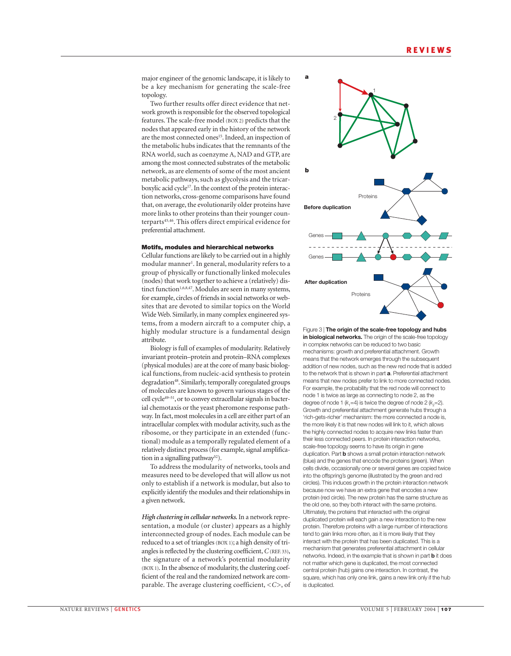major engineer of the genomic landscape, it is likely to be a key mechanism for generating the scale-free topology.

Two further results offer direct evidence that network growth is responsible for the observed topological features. The scale-free model (BOX 2) predicts that the nodes that appeared early in the history of the network are the most connected ones<sup>15</sup>. Indeed, an inspection of the metabolic hubs indicates that the remnants of the RNA world, such as coenzyme A, NAD and GTP, are among the most connected substrates of the metabolic network, as are elements of some of the most ancient metabolic pathways, such as glycolysis and the tricarboxylic acid cycle<sup>17</sup>. In the context of the protein interaction networks, cross-genome comparisons have found that, on average, the evolutionarily older proteins have more links to other proteins than their younger counterparts45,46. This offers direct empirical evidence for preferential attachment.

## **Motifs, modules and hierarchical networks**

Cellular functions are likely to be carried out in a highly modular manner<sup>1</sup>. In general, modularity refers to a group of physically or functionally linked molecules (nodes) that work together to achieve a (relatively) distinct function<sup>1,6,8,47</sup>. Modules are seen in many systems, for example, circles of friends in social networks or websites that are devoted to similar topics on the World Wide Web. Similarly, in many complex engineered systems, from a modern aircraft to a computer chip, a highly modular structure is a fundamental design attribute.

Biology is full of examples of modularity. Relatively invariant protein–protein and protein–RNA complexes (physical modules) are at the core of many basic biological functions, from nucleic-acid synthesis to protein degradation<sup>48</sup>. Similarly, temporally coregulated groups of molecules are known to govern various stages of the cell cycle49–51, or to convey extracellular signals in bacterial chemotaxis or the yeast pheromone response pathway.In fact, most molecules in a cell are either part of an intracellular complex with modular activity, such as the ribosome, or they participate in an extended (functional) module as a temporally regulated element of a relatively distinct process (for example, signal amplification in a signalling pathway<sup>52</sup>).

To address the modularity of networks, tools and measures need to be developed that will allow us not only to establish if a network is modular, but also to explicitly identify the modules and their relationships in a given network.

*High clustering in cellular networks.* In a network representation, a module (or cluster) appears as a highly interconnected group of nodes. Each module can be reduced to a set of triangles (BOX 1); a high density of triangles is reflected by the clustering coefficient,*C* (REF. 33), the signature of a network's potential modularity (BOX 1). In the absence of modularity, the clustering coefficient of the real and the randomized network are comparable. The average clustering coefficient, <*C*>, of



Figure 3 | **The origin of the scale-free topology and hubs in biological networks.** The origin of the scale-free topology in complex networks can be reduced to two basic mechanisms: growth and preferential attachment. Growth means that the network emerges through the subsequent addition of new nodes, such as the new red node that is added to the network that is shown in part **a**. Preferential attachment means that new nodes prefer to link to more connected nodes*.* For example, the probability that the red node will connect to node 1 is twice as large as connecting to node 2, as the degree of node 1 ( $k_1$ =4) is twice the degree of node 2 ( $k_2$ =2). Growth and preferential attachment generate hubs through a 'rich-gets-richer' mechanism: the more connected a node is, the more likely it is that new nodes will link to it, which allows the highly connected nodes to acquire new links faster than their less connected peers. In protein interaction networks, scale-free topology seems to have its origin in gene duplication. Part **b** shows a small protein interaction network (blue) and the genes that encode the proteins (green). When cells divide, occasionally one or several genes are copied twice into the offspring's genome (illustrated by the green and red circles). This induces growth in the protein interaction network because now we have an extra gene that encodes a new protein (red circle). The new protein has the same structure as the old one, so they both interact with the same proteins. Ultimately, the proteins that interacted with the original duplicated protein will each gain a new interaction to the new protein. Therefore proteins with a large number of interactions tend to gain links more often, as it is more likely that they interact with the protein that has been duplicated. This is a mechanism that generates preferential attachment in cellular networks. Indeed, in the example that is shown in part **b** it does not matter which gene is duplicated, the most connected central protein (hub) gains one interaction. In contrast, the square, which has only one link, gains a new link only if the hub is duplicated.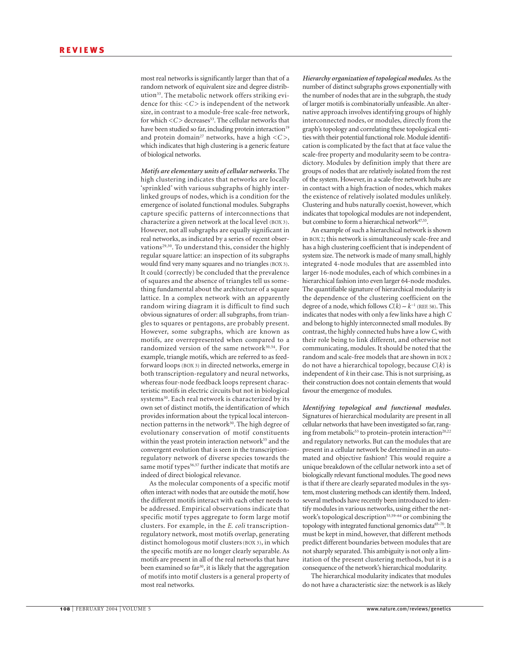most real networks is significantly larger than that of a random network of equivalent size and degree distribution<sup>33</sup>. The metabolic network offers striking evidence for this: <*C* > is independent of the network size, in contrast to a module-free scale-free network, for which  $\langle C \rangle$  decreases<sup>53</sup>. The cellular networks that have been studied so far, including protein interaction<sup>19</sup> and protein domain<sup>27</sup> networks, have a high  $\langle C \rangle$ , which indicates that high clustering is a generic feature of biological networks.

*Motifs are elementary units of cellular networks.* The high clustering indicates that networks are locally 'sprinkled' with various subgraphs of highly interlinked groups of nodes, which is a condition for the emergence of isolated functional modules. Subgraphs capture specific patterns of interconnections that characterize a given network at the local level (BOX 3). However, not all subgraphs are equally significant in real networks, as indicated by a series of recent observations<sup>29,30</sup>. To understand this, consider the highly regular square lattice: an inspection of its subgraphs would find very many squares and no triangles (BOX 3). It could (correctly) be concluded that the prevalence of squares and the absence of triangles tell us something fundamental about the architecture of a square lattice. In a complex network with an apparently random wiring diagram it is difficult to find such obvious signatures of order: all subgraphs, from triangles to squares or pentagons, are probably present. However, some subgraphs, which are known as motifs*,* are overrepresented when compared to a randomized version of the same network<sup>30,54</sup>. For example, triangle motifs, which are referred to as feedforward loops (BOX 3) in directed networks, emerge in both transcription-regulatory and neural networks, whereas four-node feedback loops represent characteristic motifs in electric circuits but not in biological systems<sup>30</sup>. Each real network is characterized by its own set of distinct motifs, the identification of which provides information about the typical local interconnection patterns in the network<sup>30</sup>. The high degree of evolutionary conservation of motif constituents within the yeast protein interaction network<sup>55</sup> and the convergent evolution that is seen in the transcriptionregulatory network of diverse species towards the same motif types<sup>56,57</sup> further indicate that motifs are indeed of direct biological relevance.

As the molecular components of a specific motif often interact with nodes that are outside the motif, how the different motifs interact with each other needs to be addressed. Empirical observations indicate that specific motif types aggregate to form large motif clusters*.* For example, in the *E. coli* transcriptionregulatory network, most motifs overlap, generating distinct homologous motif clusters(BOX 3), in which the specific motifs are no longer clearly separable. As motifs are present in all of the real networks that have been examined so  $far^{30}$ , it is likely that the aggregation of motifs into motif clusters is a general property of most real networks.

*Hierarchy organization of topological modules.*As the number of distinct subgraphs grows exponentially with the number of nodes that are in the subgraph, the study of larger motifs is combinatorially unfeasible. An alternative approach involves identifying groups of highly interconnected nodes, or modules*,* directly from the graph's topology and correlating these topological entities with their potential functional role. Module identification is complicated by the fact that at face value the scale-free property and modularity seem to be contradictory. Modules by definition imply that there are groups of nodes that are relatively isolated from the rest of the system. However, in a scale-free network hubs are in contact with a high fraction of nodes, which makes the existence of relatively isolated modules unlikely. Clustering and hubs naturally coexist, however, which indicates that topological modules are not independent, but combine to form a hierarchical network<sup>47,53</sup>.

An example of such a hierarchical network is shown in BOX 2; this network is simultaneously scale-free and has a high clustering coefficient that is independent of system size. The network is made of many small, highly integrated 4-node modules that are assembled into larger 16-node modules, each of which combines in a hierarchical fashion into even larger 64-node modules. The quantifiable signature of hierarchical modularity is the dependence of the clustering coefficient on the degree of a node, which follows  $C(k) \sim k^{-1}$  (REF. 58). This indicates that nodes with only a few links have a high *C* and belong to highly interconnected small modules. By contrast, the highly connected hubs have a low *C*, with their role being to link different, and otherwise not communicating, modules. It should be noted that the random and scale-free models that are shown in BOX 2 do not have a hierarchical topology, because *C*(*k*) is independent of *k* in their case. This is not surprising, as their construction does not contain elements that would favour the emergence of modules.

*Identifying topological and functional modules.* Signatures of hierarchical modularity are present in all cellular networks that have been investigated so far, ranging from metabolic<sup>53</sup> to protein–protein interaction<sup>20,22</sup> and regulatory networks. But can the modules that are present in a cellular network be determined in an automated and objective fashion? This would require a unique breakdown of the cellular network into a set of biologically relevant functional modules. The good news is that if there are clearly separated modules in the system, most clustering methods can identify them. Indeed, several methods have recently been introduced to identify modules in various networks, using either the network's topological description<sup>53,59-64</sup> or combining the topology with integrated functional genomics data<sup>65-70</sup>. It must be kept in mind, however, that different methods predict different boundaries between modules that are not sharply separated. This ambiguity is not only a limitation of the present clustering methods, but it is a consequence of the network's hierarchical modularity.

The hierarchical modularity indicates that modules do not have a characteristic size: the network is as likely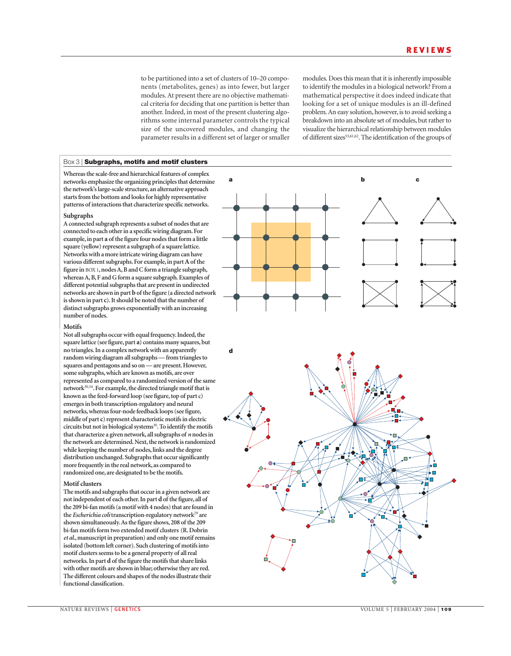to be partitioned into a set of clusters of 10–20 components (metabolites, genes) as into fewer, but larger modules. At present there are no objective mathematical criteria for deciding that one partition is better than another. Indeed, in most of the present clustering algorithms some internal parameter controls the typical size of the uncovered modules, and changing the parameter results in a different set of larger or smaller

modules. Does this mean that it is inherently impossible to identify the modules in a biological network? From a mathematical perspective it does indeed indicate that looking for a set of unique modules is an ill-defined problem.An easy solution, however, is to avoid seeking a breakdown into an absolute set of modules, but rather to visualize the hierarchical relationship between modules of different sizes<sup>53,61,62</sup>. The identification of the groups of

## Box 3 | **Subgraphs, motifs and motif clusters**

**Whereas the scale-free and hierarchical features of complex networks emphasize the organizing principles that determine the network's large-scale structure, an alternative approach starts from the bottom and looks for highly representative patterns of interactions that characterize specific networks.**

#### **Subgraphs**

**A connected subgraph represents a subset of nodes that are connected to each other in a specific wiring diagram. For example, in part a of the figure four nodes that form a little square (yellow) represent a subgraph of a square lattice. Networks with a more intricate wiring diagram can have various different subgraphs. For example, in part Aof the figure in** BOX 1**, nodes A, B and C form a triangle subgraph, whereas A, B, F and G form a square subgraph. Examples of different potential subgraphs that are present in undirected networks are shown in part b of the figure (a directed network is shown in part c). It should be noted that the number of distinct subgraphs grows exponentially with an increasing number of nodes.**

## **Motifs**

**Not all subgraphs occur with equal frequency. Indeed, the square lattice (see figure, part a) contains many squares, but no triangles. In a complex network with an apparently random wiring diagram all subgraphs — from triangles to squares and pentagons and so on — are present. However, some subgraphs, which are known as motifs***,* **are over represented as compared to a randomized version of the same network**30,54**. For example, the directed triangle motif that is known as the feed-forward loop (see figure, top of part c) emerges in both transcription-regulatory and neural networks, whereas four-node feedback loops (see figure, middle of part c) represent characteristic motifs in electric circuits but not in biological systems**<sup>30</sup>**. To identify the motifs that characterize a given network, all subgraphs of** *n* **nodes in the network are determined. Next, the network is randomized while keeping the number of nodes, links and the degree distribution unchanged. Subgraphs that occur significantly more frequently in the real network, as compared to randomized one, are designated to be the motifs.**

## **Motif clusters**

**The motifs and subgraphs that occur in a given network are not independent of each other. In part d of the figure, all of the 209 bi-fan motifs (a motif with 4 nodes) that are found in the** *Escherichia coli***transcription-regulatory network**<sup>29</sup> **are shown simultaneously.As the figure shows, 208 of the 209 bi-fan motifs form two extended motif clusters (R. Dobrin**  *et al***., manuscript in preparation) and only one motif remains isolated (bottom left corner). Such clustering of motifs into motif clusters seems to be a general property of all real networks. In part d of the figure the motifs that share links with other motifs are shown in blue; otherwise they are red. The different colours and shapes of the nodes illustrate their functional classification.**

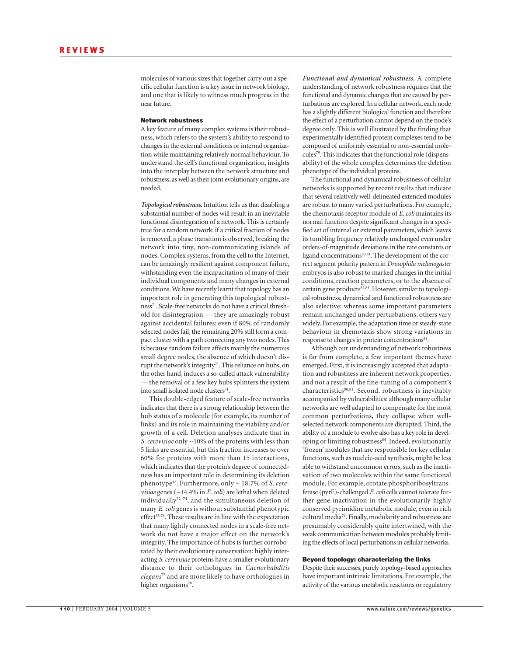molecules of various sizes that together carry out a specific cellular function is a key issue in network biology, and one that is likely to witness much progress in the near future.

#### **Network robustness**

A key feature of many complex systems is their robustness, which refers to the system's ability to respond to changes in the external conditions or internal organization while maintaining relatively normal behaviour. To understand the cell's functional organization, insights into the interplay between the network structure and robustness, as well as their joint evolutionary origins, are needed.

*Topological robustness.* Intuition tells us that disabling a substantial number of nodes will result in an inevitable functional disintegration of a network. This is certainly true for a random network: if a critical fraction of nodes is removed, a phase transition is observed, breaking the network into tiny, non-communicating islands of nodes. Complex systems, from the cell to the Internet, can be amazingly resilient against component failure, withstanding even the incapacitation of many of their individual components and many changes in external conditions. We have recently learnt that topology has an important role in generating this topological robustness71. Scale-free networks do not have a critical threshold for disintegration — they are amazingly robust against accidental failures: even if 80% of randomly selected nodes fail, the remaining 20% still form a compact cluster with a path connecting any two nodes. This is because random failure affects mainly the numerous small degree nodes, the absence of which doesn't disrupt the network's integrity<sup>71</sup>. This reliance on hubs, on the other hand, induces a so-called attack vulnerability — the removal of a few key hubs splinters the system into small isolated node clusters<sup>71</sup>.

This double-edged feature of scale-free networks indicates that there is a strong relationship between the hub status of a molecule (for example, its number of links) and its role in maintaining the viability and/or growth of a cell. Deletion analyses indicate that in *S. cerevisiae* only ~10% of the proteins with less than 5 links are essential, but this fraction increases to over 60% for proteins with more than 15 interactions, which indicates that the protein's degree of connectedness has an important role in determining its deletion phenotype18. Furthermore, only ~ 18.7% of *S. cerevisiae* genes (~14.4% in *E. coli*) are lethal when deleted individually72–74, and the simultaneous deletion of many *E. coli* genes is without substantial phenotypic effect<sup>75,76</sup>. These results are in line with the expectation that many lightly connected nodes in a scale-free network do not have a major effect on the network's integrity. The importance of hubs is further corroborated by their evolutionary conservation: highly interacting *S. cerevisiae* proteins have a smaller evolutionary distance to their orthologues in *Caenorhabditis elegans*<sup>77</sup> and are more likely to have orthologues in higher organisms<sup>78</sup>.

*Functional and dynamical robustness.* A complete understanding of network robustness requires that the functional and dynamic changes that are caused by perturbations are explored. In a cellular network, each node has a slightly different biological function and therefore the effect of a perturbation cannot depend on the node's degree only. This is well illustrated by the finding that experimentally identified protein complexes tend to be composed of uniformly essential or non-essential molecules79. This indicates that the functional role (dispensability) of the whole complex determines the deletion phenotype of the individual proteins.

The functional and dynamical robustness of cellular networks is supported by recent results that indicate that several relatively well-delineated extended modules are robust to many varied perturbations. For example, the chemotaxis receptor module of *E. coli* maintains its normal function despite significant changes in a specified set of internal or external parameters, which leaves its tumbling frequency relatively unchanged even under orders-of-magnitude deviations in the rate constants or ligand concentrations<sup>80,81</sup>. The development of the correct segment polarity pattern in *Drosophila melanogaster* embryos is also robust to marked changes in the initial conditions, reaction parameters, or to the absence of certain gene products<sup>82,83</sup>. However, similar to topological robustness, dynamical and functional robustness are also selective: whereas some important parameters remain unchanged under perturbations, others vary widely. For example, the adaptation time or steady-state behaviour in chemotaxis show strong variations in response to changes in protein concentrations<sup>81</sup>.

Although our understanding of network robustness is far from complete, a few important themes have emerged. First, it is increasingly accepted that adaptation and robustness are inherent network properties, and not a result of the fine-tuning of a component's characteristics<sup>80,81</sup>. Second, robustness is inevitably accompanied by vulnerabilities: although many cellular networks are well adapted to compensate for the most common perturbations, they collapse when wellselected network components are disrupted. Third, the ability of a module to evolve also has a key role in developing or limiting robustness<sup>84</sup>. Indeed, evolutionarily 'frozen' modules that are responsible for key cellular functions, such as nucleic-acid synthesis, might be less able to withstand uncommon errors, such as the inactivation of two molecules within the same functional module. For example, orotate phosphoribosyltransferase (pyrE)-challenged *E. coli* cells cannot tolerate further gene inactivation in the evolutionarily highly conserved pyrimidine metabolic module, even in rich cultural media74. Finally, modularity and robustness are presumably considerably quite intertwined, with the weak communication between modules probably limiting the effects of local perturbations in cellular networks.

## **Beyond topology: characterizing the links**

Despite their successes, purely topology-based approaches have important intrinsic limitations. For example, the activity of the various metabolic reactions or regulatory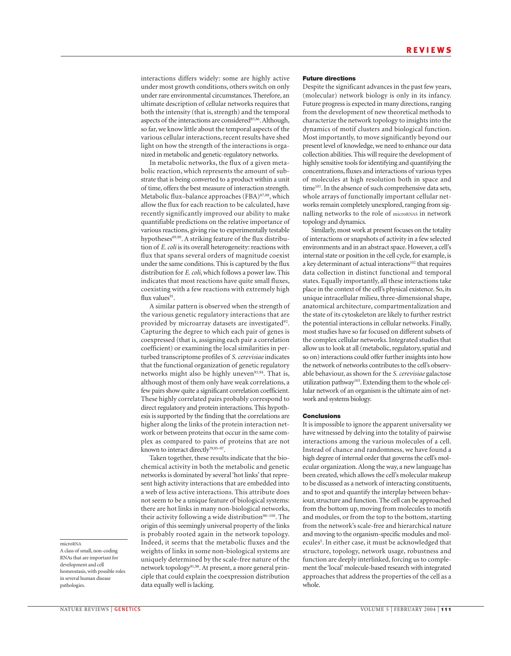interactions differs widely: some are highly active under most growth conditions, others switch on only under rare environmental circumstances. Therefore, an ultimate description of cellular networks requires that both the intensity (that is, strength) and the temporal aspects of the interactions are considered<sup>85,86</sup>. Although, so far, we know little about the temporal aspects of the various cellular interactions, recent results have shed light on how the strength of the interactions is organized in metabolic and genetic-regulatory networks.

In metabolic networks, the flux of a given metabolic reaction, which represents the amount of substrate that is being converted to a product within a unit of time, offers the best measure of interaction strength. Metabolic flux-balance approaches (FBA)<sup>87,88</sup>, which allow the flux for each reaction to be calculated, have recently significantly improved our ability to make quantifiable predictions on the relative importance of various reactions, giving rise to experimentally testable hypotheses<sup>89,90</sup>. A striking feature of the flux distribution of *E. coli* is its overall heterogeneity: reactions with flux that spans several orders of magnitude coexist under the same conditions. This is captured by the flux distribution for *E. coli*, which follows a power law. This indicates that most reactions have quite small fluxes, coexisting with a few reactions with extremely high flux values<sup>91</sup>.

A similar pattern is observed when the strength of the various genetic regulatory interactions that are provided by microarray datasets are investigated<sup>92</sup>. Capturing the degree to which each pair of genes is coexpressed (that is, assigning each pair a correlation coefficient) or examining the local similarities in perturbed transcriptome profiles of *S. cerevisiae*indicates that the functional organization of genetic regulatory networks might also be highly uneven<sup>93,94</sup>. That is, although most of them only have weak correlations, a few pairs show quite a significant correlation coefficient. These highly correlated pairs probably correspond to direct regulatory and protein interactions. This hypothesis is supported by the finding that the correlations are higher along the links of the protein interaction network or between proteins that occur in the same complex as compared to pairs of proteins that are not known to interact directly<sup>79,95-97</sup>.

Taken together, these results indicate that the biochemical activity in both the metabolic and genetic networks is dominated by several 'hot links' that represent high activity interactions that are embedded into a web of less active interactions. This attribute does not seem to be a unique feature of biological systems: there are hot links in many non-biological networks, their activity following a wide distribution<sup>98-100</sup>. The origin of this seemingly universal property of the links is probably rooted again in the network topology. Indeed, it seems that the metabolic fluxes and the weights of links in some non-biological systems are uniquely determined by the scale-free nature of the network topology<sup>91,98</sup>. At present, a more general principle that could explain the coexpression distribution data equally well is lacking.

#### **Future directions**

Despite the significant advances in the past few years, (molecular) network biology is only in its infancy. Future progress is expected in many directions, ranging from the development of new theoretical methods to characterize the network topology to insights into the dynamics of motif clusters and biological function. Most importantly, to move significantly beyond our present level of knowledge, we need to enhance our data collection abilities. This will require the development of highly sensitive tools for identifying and quantifying the concentrations, fluxes and interactions of various types of molecules at high resolution both in space and time<sup>101</sup>. In the absence of such comprehensive data sets, whole arrays of functionally important cellular networks remain completely unexplored, ranging from signalling networks to the role of microRNAS in network topology and dynamics.

Similarly, most work at present focuses on the totality of interactions or snapshots of activity in a few selected environments and in an abstract space. However, a cell's internal state or position in the cell cycle, for example, is a key determinant of actual interactions<sup>102</sup> that requires data collection in distinct functional and temporal states. Equally importantly, all these interactions take place in the context of the cell's physical existence. So, its unique intracellular milieu, three-dimensional shape, anatomical architecture, compartmentalization and the state of its cytoskeleton are likely to further restrict the potential interactions in cellular networks. Finally, most studies have so far focused on different subsets of the complex cellular networks. Integrated studies that allow us to look at all (metabolic, regulatory, spatial and so on) interactions could offer further insights into how the network of networks contributes to the cell's observable behaviour, as shown for the *S. cerevisiae* galactose utilization pathway<sup>103</sup>. Extending them to the whole cellular network of an organism is the ultimate aim of network and systems biology.

#### **Conclusions**

It is impossible to ignore the apparent universality we have witnessed by delving into the totality of pairwise interactions among the various molecules of a cell. Instead of chance and randomness, we have found a high degree of internal order that governs the cell's molecular organization. Along the way, a new language has been created, which allows the cell's molecular makeup to be discussed as a network of interacting constituents, and to spot and quantify the interplay between behaviour, structure and function. The cell can be approached from the bottom up, moving from molecules to motifs and modules, or from the top to the bottom, starting from the network's scale-free and hierarchical nature and moving to the organism-specific modules and molecules<sup>5</sup>. In either case, it must be acknowledged that structure, topology, network usage, robustness and function are deeply interlinked, forcing us to complement the 'local' molecule-based research with integrated approaches that address the properties of the cell as a whole.

microRNA

A class of small, non-coding RNAs that are important for development and cell homeostasis, with possible roles in several human disease pathologies.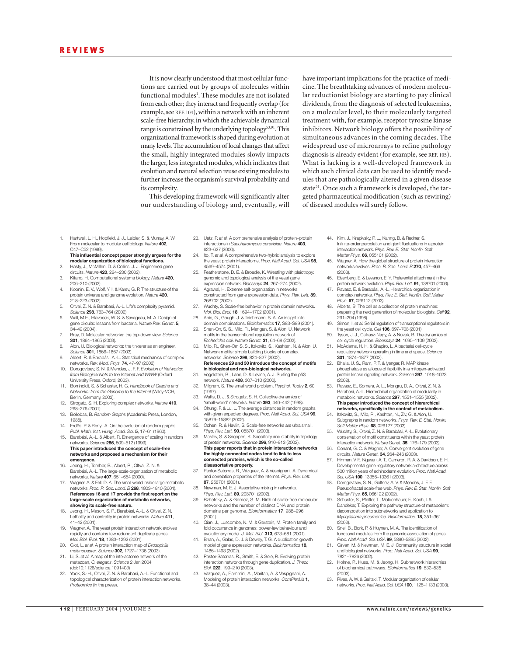It is now clearly understood that most cellular functions are carried out by groups of molecules within functional modules<sup>1</sup>. These modules are not isolated from each other; they interact and frequently overlap (for example, see REF. 104), within a network with an inherent scale-free hierarchy, in which the achievable dynamical range is constrained by the underlying topology<sup>53,91</sup>. This organizational framework is shaped during evolution at many levels. The accumulation of local changes that affect the small, highly integrated modules slowly impacts the larger, less integrated modules, which indicates that evolution and natural selection reuse existing modules to further increase the organism's survival probability and its complexity.

This developing framework will significantly alter our understanding of biology and, eventually, will have important implications for the practice of medicine. The breathtaking advances of modern molecular reductionist biology are starting to pay clinical dividends, from the diagnosis of selected leukaemias, on a molecular level, to their molecularly targeted treatment with, for example, receptor tyrosine kinase inhibitors. Network biology offers the possibility of simultaneous advances in the coming decades. The widespread use of microarrays to refine pathology diagnosis is already evident (for example, see REF. 105). What is lacking is a well-developed framework in which such clinical data can be used to identify modules that are pathologically altered in a given disease state<sup>31</sup>. Once such a framework is developed, the targeted pharmaceutical modification (such as rewiring) of diseased modules will surely follow.

Hartwell, L. H., Hopfield, J. J., Leibler, S. & Murray, A. W. From molecular to modular cell biology. *Nature* **402**, C47–C52 (1999).

#### **This influential concept paper strongly argues for the modular organization of biological functions.**

- 2. Hasty, J., McMillen, D. & Collins, J. J. Engineered gene circuits. *Nature* **420**, 224–230 (2002).
- 3. Kitano, H. Computational systems biology. *Nature* **420**, 206–210 (2002).
- 4. Koonin, E. V., Wolf, Y. I. & Karev, G. P. The structure of the protein universe and genome evolution. *Nature* **420**, 218–223 (2002).
- 5. Oltvai, Z. N. & Barabási, A.-L. Life's complexity pyramid.
- *Science* **298**, 763–764 (2002). 6. Wall, M.E., Hlavacek, W. S. & Savageau, M. A. Design of gene circuits: lessons from bacteria. *Nature Rev. Genet*. **5**, 34–42 (2004).
- 7. Bray, D. Molecular networks: the top-down view. *Science* **301**, 1864–1865 (2003).
- 8. Alon, U. Biological networks: the tinkerer as an engineer. *Science* **301**, 1866–1867 (2003).
- 9. Albert, R. & Barabási, A.-L. Statistical mechanics of complex networks. *Rev. Mod. Phys.* **74**, 47–97 (2002).
- 10. Dorogovtsev, S. N. & Mendes, J. F. F. *Evolution of Networks: from Biological Nets to the Internet and WWW* (Oxford University Press, Oxford, 2003).
- 11. Bornholdt, S. & Schuster, H. G. *Handbook of Graphs and Networks: from the Genome to the Internet* (Wiley-VCH, Berlin, Germany, 2003).
- 12. Strogatz, S. H. Exploring complex networks. *Nature* **410**, 268–276 (2001).
- 13. Bollobas, B. *Random Graphs* (Academic Press, London, 1985).
- 14. Erdös, P. & Rényi, A. On the evolution of random graphs. *Publ. Math. Inst. Hung. Acad. Sci.* **5**, 17–61 (1960). 15. Barabási, A.-L. & Albert, R. Emergence of scaling in random
- networks. *Science* **286**, 509–512 (1999). **This paper introduced the concept of scale-free networks and proposed a mechanism for their emergence.**
- 16. Jeong, H., Tombor, B., Albert, R., Oltvai, Z. N. & Barabási, A.-L. The large-scale organization of metabolic networks. *Nature* **407**, 651–654 (2000).
- 17. Wagner, A. & Fell, D. A. The small world inside large metabolic networks. *Proc. R. Soc. Lond. B* **268**, 1803–1810 (2001). **References 16 and 17 provide the first report on the large-scale organization of metabolic networks, showing its scale-free nature.**
- 18. Jeong, H., Mason, S. P., Barabási, A.-L. & Oltvai, Z. N. Lethality and centrality in protein networks. *Nature* **411**, 41–42 (2001).
- 19. Wagner, A. The yeast protein interaction network evolves rapidly and contains few redundant duplicate genes. *Mol. Biol. Evol.* **18**, 1283–1292 (2001). 20. Giot, L. *et al.* A protein interaction map of *Drosophila*
- *melanogaster*. *Science* **302**, 1727–1736 (2003). 21. Li, S. *et al.* A map of the interactome network of the
- metazoan, *C. elegans*. *Science* 2 Jan 2004 (doi:10.1126/science.1091403) 22. Yook, S.-H., Oltvai, Z. N. & Barabási, A.-L. Functional and
- topological characterization of protein interaction networks. *Proteomics* (in the press).
- 23. Uetz, P. *et al.* A comprehensive analysis of protein–protein interactions in *Saccharomyces cerevisiae*. *Nature* **403**, 623–627 (2000).
- 24. Ito, T. *et al.* A comprehensive two-hybrid analysis to explore the yeast protein interactome. *Proc. Natl Acad. Sci. USA* **98**, 4569–4574 (2001).
- 25. Featherstone, D. E. & Broadie, K. Wrestling with pleiotropy: genomic and topological analysis of the yeast gene expression network. *Bioessays* **24**, 267–274 (2002).
- 26. Agrawal, H. Extreme self-organization in networks constructed from gene expression data. *Phys. Rev. Lett.* **89**, 268702 (2002).
- 27. Wuchty, S. Scale-free behavior in protein domain networks. *Mol. Biol. Evol.* **18**, 1694–1702 (2001). 28. Apic, G., Gough, J. & Teichmann, S. A. An insight into
- domain combinations. *Bioinformatics* **17**, S83–S89 (2001).
- 29. Shen-Orr, S. S., Milo, R., Mangan, S. & Alon, U. Network motifs in the transcriptional regulation network of *Escherichia coli*. *Nature Genet.* **31**, 64–68 (2002).
- 30. Milo, R., Shen-Orr, S. S., Itzkovitz, S., Kashtan, N. & Alon, U. Network motifs: simple building blocks of complex networks. *Science* **298**, 824–827 (2002).
- **References 29 and 30 introduce the concept of motifs in biological and non-biological networks.**
- 31. Vogelstein, B., Lane, D. & Levine, A. J. Surfing the p53 network. *Nature* **408**, 307–310 (2000).
- 32. Milgram, S. The small world problem. *Psychol. Today* **2**, 60 (1967).
- 33. Watts, D. J. & Strogatz, S. H. Collective dynamics of
- Chung, F. & Lu, L. The average distances in random graphs with given expected degrees. *Proc. Natl Acad. Sci. USA* **99**, 15879–15882 (2002).
- *Phys. Rev. Lett.* **90**, 058701 (2003). 36. Maslov, S. & Sneppen, K. Specificity and stability in topology
- of protein networks. *Science* **296**, 910–913 (2002). **This paper reports that in protein interaction networks the highly connected nodes tend to link to less connected proteins, which is the so-called**
- **disassortative property.** 37. Pastor-Satorras, R., Vázquez, A. & Vespignani, A. Dynamical and correlation properties of the Internet. *Phys. Rev. Lett.* **87**, 258701 (2001).
- 38. Newman, M. E. J. Assortative mixing in networks. *Phys. Rev. Lett.* **89**, 208701 (2002).
- 39. Rzhetsky, A. & Gomez, S. M. Birth of scale-free molecular networks and the number of distinct DNA and protein domains per genome. *Bioinformatics* **17**, 988–996 (2001).
- 40. Qian, J., Luscombe, N. M. & Gerstein, M. Protein family and fold occurrence in genomes: power-law behaviour and evolutionary model. *J. Mol. Biol.* **313**, 673–681 (2001).
- 41. Bhan, A., Galas, D. J. & Dewey, T. G. A duplication growth model of gene expression networks. *Bioinformatics* **18**,
- 1486–1493 (2002). 42. Pastor-Satorras, R., Smith, E. & Sole, R. Evolving protein interaction networks through gene duplication. *J. Theor. Biol.* **222**, 199–210 (2003).
- 43. Vazquez, A., Flammini, A., Maritan, A. & Vespignani, A. Modeling of protein interaction networks. *ComPlexUs* **1**, 38–44 (2003).
- 44. Kim, J., Krapivsky, P. L., Kahng, B. & Redner, S. Infinite-order percolation and giant fluctuations in a protein interaction network. *Phys. Rev. E. Stat. Nonlin. Soft Matter Phys.* **66**, 055101 (2002).
- 45. Wagner, A. How the global structure of protein interaction networks evolves. *Proc. R. Soc. Lond. B* **270**, 457–466 (2003).
- 46. Eisenberg, E. & Levanon, E. Y. Preferential attachment in the protein network evolution. *Phys. Rev. Lett.* **91**, 138701 (2003).
- 47. Ravasz, E. & Barabási, A.-L. Hierarchical organization in complex networks. Phys. Rev. E. Stat. Nonlin. Soft Matter *Phys.* **67**, 026112 (2003).
- 48. Alberts, B. The cell as a collection of protein machines: preparing the next generation of molecular biologists. *Cell* **92**, 291–294 (1998).
- 49. Simon, I. *et al.* Serial regulation of transcriptional regulators in the yeast cell cycle. *Cell* **106**, 697–708 (2001). 50. Tyson, J. J., Csikasz-Nagy, A. & Novak, B. The dynamics of
- cell cycle regulation. *Bioessays* **24**, 1095–1109 (2002). 51. McAdams, H. H. & Shapiro, L. A bacterial cell-cycle
- regulatory network operating in time and space. *Science* **301**, 1874–1877 (2003).
- 52. Bhalla, U. S., Ram, P. T. & Iyengar, R. MAP kinase phosphatase as a locus of flexibility in a mitogen-activated protein kinase signaling network. *Science* **297**, 1018–1023 .<br>(2002).
- 53. Ravasz, E., Somera, A. L., Mongru, D. A., Oltvai, Z. N. & Barabási, A.-L. Hierarchical organization of modularity in metabolic networks. *Science* **297**, 1551–1555 (2002). **This paper introduced the concept of hierarchical networks, specifically in the context of metabolism.**
- 54. Itzkovitz, S., Milo, R., Kashtan, N., Ziv, G. & Alon, U. Subgraphs in random networks. *Phys. Rev. E. Stat. Nonlin. Soft Matter Phys.* **68**, 026127 (2003).
- 55. Wuchty, S., Oltvai, Z. N. & Barabási, A.-L. Evolutionary conservation of motif constituents within the yeast protein interaction network. *Nature Genet.* **35**, 176–179 (2003). 56. Conant, G. C. & Wagner, A. Convergent evolution of gene
- circuits. *Nature Genet.* **34**, 264–246 (2003). 57. Hinman, V. F., Nguyen, A. T., Cameron, R. A. & Davidson, E. H. Developmental gene regulatory network architecture across 500 million years of echinoderm evolution. *Proc. Natl Acad. Sci. USA* **100**, 13356–13361 (2003).
- 58. Dorogovtsev, S. N., Goltsev, A. V. & Mendes, J. F. F. Pseudofractal scale-free web. *Phys. Rev. E. Stat. Nonlin. Soft Matter Phys.* **65**, 066122 (2002).
- 59. Schuster, S., Pfeiffer, T., Moldenhauer, F., Koch, I. & Dandekar, T. Exploring the pathway structure of metabolism: decomposition into subnetworks and application to *Mycoplasma pneumoniae*. *Bioinformatics.* **18**, 351–361 (2002).
- 60. Snel, B., Bork, P. & Huynen, M. A. The identification of functional modules from the genomic association of genes. *Proc. Natl Acad. Sci. USA* **99**, 5890–5895 (2002).
- 61. Girvan, M. & Newman, M. E. J. Community structure in social and biological networks. *Proc. Natl Acad. Sci. USA* **99**, 7821–7826 (2002).
- 62. Holme, P., Huss, M. & Jeong, H. Subnetwork hierarchies of biochemical pathways. *Bioinformatics* **19**, 532–538 (2003).
- 63. Rives, A. W. & Galitski, T. Modular organization of cellular networks. *Proc. Natl Acad. Sci. USA* **100**, 1128–1133 (2003).

- 'small-world' networks. *Nature* **393**, 440–442 (1998).
- 35. Cohen, R. & Havlin, S. Scale-free networks are ultra small.